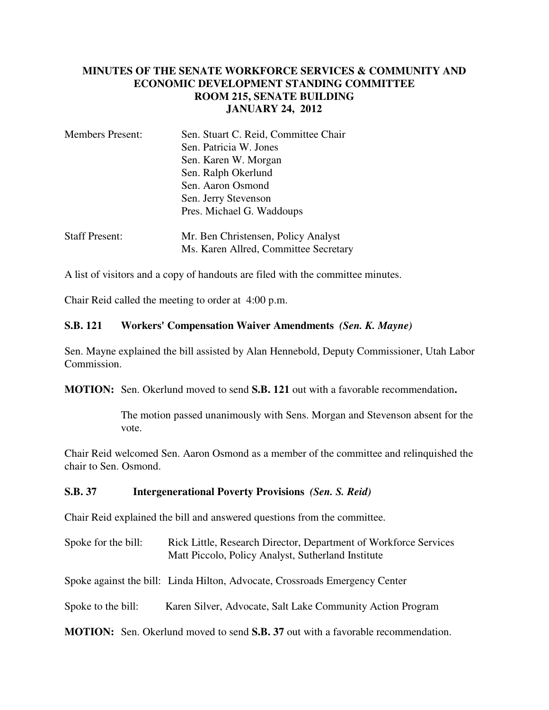## **MINUTES OF THE SENATE WORKFORCE SERVICES & COMMUNITY AND ECONOMIC DEVELOPMENT STANDING COMMITTEE ROOM 215, SENATE BUILDING JANUARY 24, 2012**

| Sen. Stuart C. Reid, Committee Chair |
|--------------------------------------|
| Sen. Patricia W. Jones               |
| Sen. Karen W. Morgan                 |
| Sen. Ralph Okerlund                  |
| Sen. Aaron Osmond                    |
| Sen. Jerry Stevenson                 |
| Pres. Michael G. Waddoups            |
|                                      |
|                                      |

| <b>Staff Present:</b> | Mr. Ben Christensen, Policy Analyst   |
|-----------------------|---------------------------------------|
|                       | Ms. Karen Allred, Committee Secretary |

A list of visitors and a copy of handouts are filed with the committee minutes.

Chair Reid called the meeting to order at 4:00 p.m.

## **S.B. 121 Workers' Compensation Waiver Amendments** *(Sen. K. Mayne)*

Sen. Mayne explained the bill assisted by Alan Hennebold, Deputy Commissioner, Utah Labor Commission.

**MOTION:** Sen. Okerlund moved to send **S.B. 121** out with a favorable recommendation**.**

The motion passed unanimously with Sens. Morgan and Stevenson absent for the vote.

Chair Reid welcomed Sen. Aaron Osmond as a member of the committee and relinquished the chair to Sen. Osmond.

## **S.B. 37 Intergenerational Poverty Provisions** *(Sen. S. Reid)*

Chair Reid explained the bill and answered questions from the committee.

Spoke for the bill: Rick Little, Research Director, Department of Workforce Services Matt Piccolo, Policy Analyst, Sutherland Institute

Spoke against the bill: Linda Hilton, Advocate, Crossroads Emergency Center

Spoke to the bill: Karen Silver, Advocate, Salt Lake Community Action Program

**MOTION:** Sen. Okerlund moved to send **S.B. 37** out with a favorable recommendation.